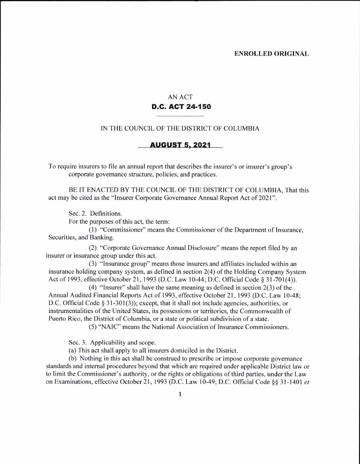## AN ACT D.C. ACT 24-150

## IN THE COUNCIL OF THE DISTRICT OF COLUMBIA

## AUGUST 5.2021

To require insurers to file an annual report that describes the insurer's or insurer's group's corporate govemance structure, policies, and practices.

BE IT ENACTED BY THE COUNCIL OF THE DISTRICT OF COLUMBIA, That this act may be cited as the "Insurer Corporate Governance Annual Report Act of 2021".

Sec. 2. Definitions.

For the purposes of this act, the term:

(l ) "Commissioner" means the Commissioner of the Department of Insurance, Securities, and Banking.

(2) "Corporate Govemance Annual Disclosure" means the report filed by an insurer or insurance group under this act.

(3) "lnsurance group" means those insurers and affiliates included within an insurance holding company system, as defined in section  $2(4)$  of the Holding Company System Act of 1993, effective October 21, 1993 (D.C. Law 10-44; D.C. Official Code § 31-701(4)).

(4) "Insurer" shall have the same meaning as defined in section  $2(3)$  of the Annual Audited Financial Reports Act of 1993, effective October 21, 1993 (D.C. Law l0-48: D.C. Official Code  $\S 31-301(3)$ ; except, that it shall not include agencies, authorities, or instrumentalities of the United States, its possessions or territories, the Commonwealth of Puerto Rico, the District of Columbia, or a state or political subdivision of a state.

(5) "NAIC" means the National Association of Insurance Commissioners.

Sec. 3. Applicability and scope.

(a) This act shall apply to all insurers domiciled in the District.

(b) Nothing in this act shall be construed to prescribe or impose corporate governance standards and intemal procedures beyond that which are required under applicable District law or to limit the Commissioner's authority, or the rights or obligations of third parties, under the Law on Examinations, effective October 21, 1993 (D.C. Law 10-49; D.C. Official Code §§ 31-1401 et